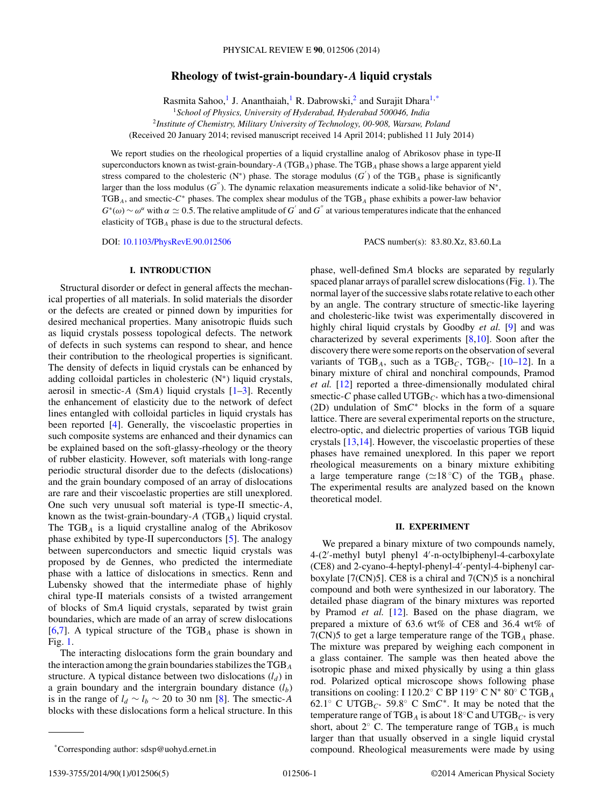# **Rheology of twist-grain-boundary-***A* **liquid crystals**

Rasmita Sahoo,<sup>1</sup> J. Ananthaiah,<sup>1</sup> R. Dabrowski,<sup>2</sup> and Surajit Dhara<sup>1,\*</sup>

<sup>1</sup>*School of Physics, University of Hyderabad, Hyderabad 500046, India*

<sup>2</sup>*Institute of Chemistry, Military University of Technology, 00-908, Warsaw, Poland*

(Received 20 January 2014; revised manuscript received 14 April 2014; published 11 July 2014)

We report studies on the rheological properties of a liquid crystalline analog of Abrikosov phase in type-II superconductors known as twist-grain-boundary-*A* (TGB*A*) phase. The TGB*<sup>A</sup>* phase shows a large apparent yield stress compared to the cholesteric (N<sup>\*</sup>) phase. The storage modulus  $(G')$  of the TGB<sub>A</sub> phase is significantly larger than the loss modulus (*G*). The dynamic relaxation measurements indicate a solid-like behavior of N∗, TGB*A*, and smectic-*C*<sup>∗</sup> phases. The complex shear modulus of the TGB*<sup>A</sup>* phase exhibits a power-law behavior  $G^*(\omega) \sim \omega^{\alpha}$  with  $\alpha \simeq 0.5$ . The relative amplitude of  $G'$  and  $G''$  at various temperatures indicate that the enhanced elasticity of TGB*<sup>A</sup>* phase is due to the structural defects.

DOI: [10.1103/PhysRevE.90.012506](http://dx.doi.org/10.1103/PhysRevE.90.012506) PACS number(s): 83*.*80*.*Xz*,* 83*.*60*.*La

# **I. INTRODUCTION**

Structural disorder or defect in general affects the mechanical properties of all materials. In solid materials the disorder or the defects are created or pinned down by impurities for desired mechanical properties. Many anisotropic fluids such as liquid crystals possess topological defects. The network of defects in such systems can respond to shear, and hence their contribution to the rheological properties is significant. The density of defects in liquid crystals can be enhanced by adding colloidal particles in cholesteric (N∗) liquid crystals, aerosil in smectic-*A* (Sm*A*) liquid crystals [\[1–3\]](#page-4-0). Recently the enhancement of elasticity due to the network of defect lines entangled with colloidal particles in liquid crystals has been reported [\[4\]](#page-4-0). Generally, the viscoelastic properties in such composite systems are enhanced and their dynamics can be explained based on the soft-glassy-rheology or the theory of rubber elasticity. However, soft materials with long-range periodic structural disorder due to the defects (dislocations) and the grain boundary composed of an array of dislocations are rare and their viscoelastic properties are still unexplored. One such very unusual soft material is type-II smectic-*A*, known as the twist-grain-boundary-*A* (TGB*A*) liquid crystal. The TGB*<sup>A</sup>* is a liquid crystalline analog of the Abrikosov phase exhibited by type-II superconductors [\[5\]](#page-4-0). The analogy between superconductors and smectic liquid crystals was proposed by de Gennes, who predicted the intermediate phase with a lattice of dislocations in smectics. Renn and Lubensky showed that the intermediate phase of highly chiral type-II materials consists of a twisted arrangement of blocks of Sm*A* liquid crystals, separated by twist grain boundaries, which are made of an array of screw dislocations [\[6,7\]](#page-4-0). A typical structure of the TGB*<sup>A</sup>* phase is shown in Fig. [1.](#page-1-0)

The interacting dislocations form the grain boundary and the interaction among the grain boundaries stabilizes the TGB*<sup>A</sup>* structure. A typical distance between two dislocations  $(l_d)$  in a grain boundary and the intergrain boundary distance  $(l_b)$ is in the range of  $l_d \sim l_b \sim 20$  to 30 nm [\[8\]](#page-4-0). The smectic-*A* blocks with these dislocations form a helical structure. In this phase, well-defined Sm*A* blocks are separated by regularly spaced planar arrays of parallel screw dislocations (Fig. [1\)](#page-1-0). The normal layer of the successive slabs rotate relative to each other by an angle. The contrary structure of smectic-like layering and cholesteric-like twist was experimentally discovered in highly chiral liquid crystals by Goodby *et al.* [\[9\]](#page-4-0) and was characterized by several experiments [\[8,10\]](#page-4-0). Soon after the discovery there were some reports on the observation of several variants of TGB<sub>A</sub>, such as a TGB<sub>C</sub>, TGB<sub>C<sup>\*</sup></sub> [\[10–12\]](#page-4-0). In a binary mixture of chiral and nonchiral compounds, Pramod *et al.* [\[12\]](#page-4-0) reported a three-dimensionally modulated chiral smectic-*C* phase called UTGB*<sup>C</sup>*<sup>∗</sup> which has a two-dimensional (2D) undulation of Sm*C*<sup>∗</sup> blocks in the form of a square lattice. There are several experimental reports on the structure, electro-optic, and dielectric properties of various TGB liquid crystals [\[13,14\]](#page-4-0). However, the viscoelastic properties of these phases have remained unexplored. In this paper we report rheological measurements on a binary mixture exhibiting a large temperature range ( $\simeq$ 18 °C) of the TGB<sub>A</sub> phase. The experimental results are analyzed based on the known theoretical model.

## **II. EXPERIMENT**

We prepared a binary mixture of two compounds namely, 4-(2 -methyl butyl phenyl 4 -n-octylbiphenyl-4-carboxylate (CE8) and 2-cyano-4-heptyl-phenyl-4 -pentyl-4-biphenyl carboxylate  $[7(CN)5]$ . CE8 is a chiral and  $7(CN)5$  is a nonchiral compound and both were synthesized in our laboratory. The detailed phase diagram of the binary mixtures was reported by Pramod *et al.* [\[12\]](#page-4-0). Based on the phase diagram, we prepared a mixture of 63.6 wt% of CE8 and 36.4 wt% of 7(CN)5 to get a large temperature range of the TGB*<sup>A</sup>* phase. The mixture was prepared by weighing each component in a glass container. The sample was then heated above the isotropic phase and mixed physically by using a thin glass rod. Polarized optical microscope shows following phase transitions on cooling: I 120*.*2◦ C BP 119◦ C N<sup>∗</sup> 80◦ C TGB*<sup>A</sup>* 62*.*1◦ C UTGB*<sup>C</sup>*<sup>∗</sup> 59*.*8◦ C Sm*C*∗. It may be noted that the temperature range of TGB<sub>A</sub> is about 18 $\mathrm{C}$  and UTGB<sub>C</sub><sup>\*</sup> is very short, about 2◦ C. The temperature range of TGB*<sup>A</sup>* is much larger than that usually observed in a single liquid crystal compound. Rheological measurements were made by using

<sup>\*</sup>Corresponding author: sdsp@uohyd.ernet.in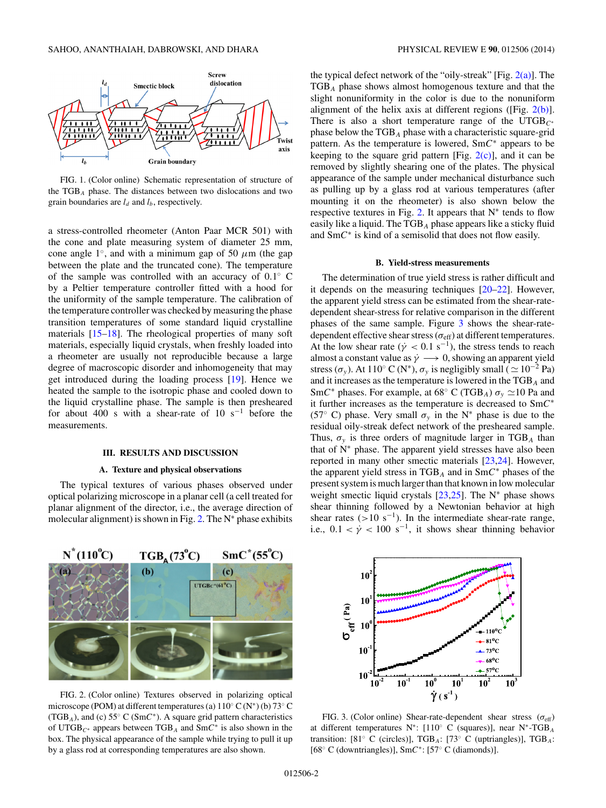<span id="page-1-0"></span>

FIG. 1. (Color online) Schematic representation of structure of the TGB*<sup>A</sup>* phase. The distances between two dislocations and two grain boundaries are  $l_d$  and  $l_b$ , respectively.

a stress-controlled rheometer (Anton Paar MCR 501) with the cone and plate measuring system of diameter 25 mm, cone angle 1<sup>°</sup>, and with a minimum gap of 50  $\mu$ m (the gap between the plate and the truncated cone). The temperature of the sample was controlled with an accuracy of 0*.*1◦ C by a Peltier temperature controller fitted with a hood for the uniformity of the sample temperature. The calibration of the temperature controller was checked by measuring the phase transition temperatures of some standard liquid crystalline materials [\[15–18\]](#page-4-0). The rheological properties of many soft materials, especially liquid crystals, when freshly loaded into a rheometer are usually not reproducible because a large degree of macroscopic disorder and inhomogeneity that may get introduced during the loading process [\[19\]](#page-4-0). Hence we heated the sample to the isotropic phase and cooled down to the liquid crystalline phase. The sample is then presheared for about 400 s with a shear-rate of 10 s<sup>-1</sup> before the measurements.

## **III. RESULTS AND DISCUSSION**

### **A. Texture and physical observations**

The typical textures of various phases observed under optical polarizing microscope in a planar cell (a cell treated for planar alignment of the director, i.e., the average direction of molecular alignment) is shown in Fig. 2. The  $N^*$  phase exhibits



FIG. 2. (Color online) Textures observed in polarizing optical microscope (POM) at different temperatures (a)  $110^{\circ}$  C (N<sup>\*</sup>) (b)  $73^{\circ}$  C (TGB*A*), and (c) 55◦ C (Sm*C*∗). A square grid pattern characteristics of UTGB*<sup>C</sup>*<sup>∗</sup> appears between TGB*<sup>A</sup>* and Sm*C*<sup>∗</sup> is also shown in the box. The physical appearance of the sample while trying to pull it up by a glass rod at corresponding temperatures are also shown.

the typical defect network of the "oily-streak" [Fig.  $2(a)$ ]. The TGB*<sup>A</sup>* phase shows almost homogenous texture and that the slight nonuniformity in the color is due to the nonuniform alignment of the helix axis at different regions ([Fig.  $2(b)$ ]. There is also a short temperature range of the UTGB*<sup>C</sup>*<sup>∗</sup> phase below the TGB*<sup>A</sup>* phase with a characteristic square-grid pattern. As the temperature is lowered, Sm*C*<sup>∗</sup> appears to be keeping to the square grid pattern [Fig.  $2(c)$ ], and it can be removed by slightly shearing one of the plates. The physical appearance of the sample under mechanical disturbance such as pulling up by a glass rod at various temperatures (after mounting it on the rheometer) is also shown below the respective textures in Fig. 2. It appears that  $N^*$  tends to flow easily like a liquid. The TGB*<sup>A</sup>* phase appears like a sticky fluid and Sm*C*<sup>∗</sup> is kind of a semisolid that does not flow easily.

### **B. Yield-stress measurements**

The determination of true yield stress is rather difficult and it depends on the measuring techniques [\[20–22\]](#page-4-0). However, the apparent yield stress can be estimated from the shear-ratedependent shear-stress for relative comparison in the different phases of the same sample. Figure 3 shows the shear-ratedependent effective shear stress ( $\sigma_{\text{eff}}$ ) at different temperatures. At the low shear rate ( $\dot{\gamma}$  < 0.1 s<sup>-1</sup>), the stress tends to reach almost a constant value as  $\dot{\gamma} \longrightarrow 0$ , showing an apparent yield stress ( $\sigma_y$ ). At 110° C (N<sup>\*</sup>),  $\sigma_y$  is negligibly small (  $\simeq 10^{-2}$  Pa) and it increases as the temperature is lowered in the TGB*<sup>A</sup>* and SmC<sup>\*</sup> phases. For example, at 68 $\degree$  C (TGB<sub>A</sub>)  $\sigma_y \simeq 10$  Pa and it further increases as the temperature is decreased to Sm*C*<sup>∗</sup> (57<sup>°</sup> C) phase. Very small  $\sigma_y$  in the N<sup>\*</sup> phase is due to the residual oily-streak defect network of the presheared sample. Thus,  $\sigma_y$  is three orders of magnitude larger in TGB<sub>A</sub> than that of  $N^*$  phase. The apparent yield stresses have also been reported in many other smectic materials [\[23,24\]](#page-4-0). However, the apparent yield stress in TGB*<sup>A</sup>* and in Sm*C*<sup>∗</sup> phases of the present system is much larger than that known in low molecular weight smectic liquid crystals  $[23,25]$ . The N<sup>\*</sup> phase shows shear thinning followed by a Newtonian behavior at high shear rates  $(>10 \text{ s}^{-1})$ . In the intermediate shear-rate range, i.e.,  $0.1 < \dot{\gamma} < 100 \text{ s}^{-1}$ , it shows shear thinning behavior



FIG. 3. (Color online) Shear-rate-dependent shear stress ( $\sigma_{\text{eff}}$ ) at different temperatures N∗: [110◦ C (squares)], near N∗-TGB*<sup>A</sup>* transition: [81◦ C (circles)], TGB*A*: [73◦ C (uptriangles)], TGB*A*: [68◦ C (downtriangles)], Sm*C*∗: [57◦ C (diamonds)].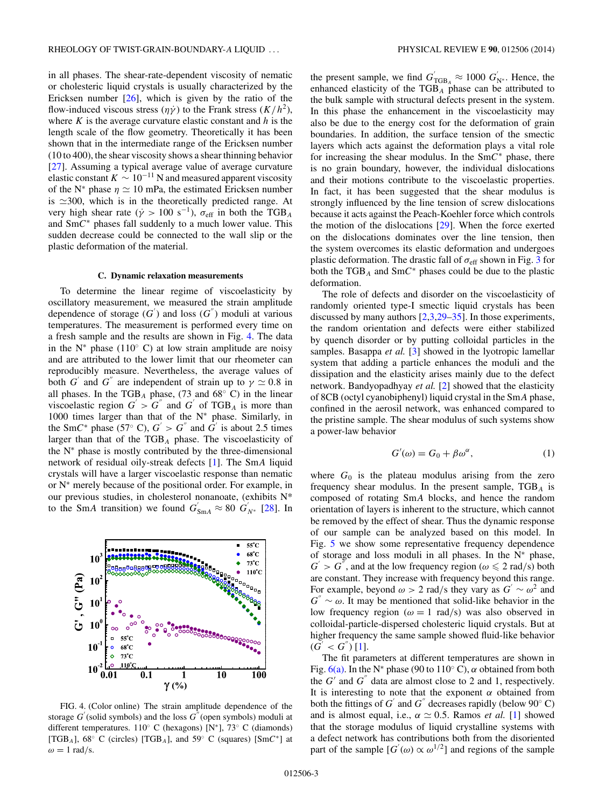<span id="page-2-0"></span>in all phases. The shear-rate-dependent viscosity of nematic or cholesteric liquid crystals is usually characterized by the Ericksen number  $[26]$ , which is given by the ratio of the flow-induced viscous stress  $(\eta \gamma)$  to the Frank stress  $(K/h^2)$ , where *K* is the average curvature elastic constant and *h* is the length scale of the flow geometry. Theoretically it has been shown that in the intermediate range of the Ericksen number (10 to 400), the shear viscosity shows a shear thinning behavior [\[27\]](#page-4-0). Assuming a typical average value of average curvature elastic constant  $K \sim 10^{-11}$  N and measured apparent viscosity of the N<sup>\*</sup> phase  $\eta \simeq 10$  mPa, the estimated Ericksen number is  $\approx$  300, which is in the theoretically predicted range. At very high shear rate ( $\dot{\gamma} > 100 \text{ s}^{-1}$ ),  $\sigma_{\text{eff}}$  in both the TGB<sub>A</sub> and Sm*C*<sup>∗</sup> phases fall suddenly to a much lower value. This sudden decrease could be connected to the wall slip or the plastic deformation of the material.

### **C. Dynamic relaxation measurements**

To determine the linear regime of viscoelasticity by oscillatory measurement, we measured the strain amplitude dependence of storage  $(G')$  and loss  $(G'')$  moduli at various temperatures. The measurement is performed every time on a fresh sample and the results are shown in Fig. 4. The data in the N<sup> $*$ </sup> phase (110 $\degree$  C) at low strain amplitude are noisy and are attributed to the lower limit that our rheometer can reproducibly measure. Nevertheless, the average values of both *G*<sup> $\prime$ </sup> and *G*<sup> $\prime$ </sup> are independent of strain up to  $\gamma \simeq 0.8$  in all phases. In the TGB<sub>A</sub> phase, (73 and  $68°$  C) in the linear viscoelastic region  $G' > G''$  and  $G'$  of TGB<sub>A</sub> is more than 1000 times larger than that of the N<sup>∗</sup> phase. Similarly, in the SmC<sup>\*</sup> phase (57° C),  $G' > G''$  and  $G'$  is about 2.5 times larger than that of the TGB*<sup>A</sup>* phase. The viscoelasticity of the  $N^*$  phase is mostly contributed by the three-dimensional network of residual oily-streak defects [\[1\]](#page-4-0). The Sm*A* liquid crystals will have a larger viscoelastic response than nematic or N<sup>∗</sup> merely because of the positional order. For example, in our previous studies, in cholesterol nonanoate, (exhibits N\* to the SmA transition) we found  $G'_{SmA} \approx 80$   $G'_{N^*}$  [\[28\]](#page-4-0). In



FIG. 4. (Color online) The strain amplitude dependence of the storage  $G'$  (solid symbols) and the loss  $G''$  (open symbols) moduli at different temperatures. 110◦ C (hexagons) [N∗], 73◦ C (diamonds) [TGB*A*], 68◦ C (circles) [TGB*A*], and 59◦ C (squares) [Sm*C*∗] at  $\omega = 1$  rad/s.

the present sample, we find  $G'_{\text{TGB}_A} \approx 1000 \ G'_{\text{N*}}$ . Hence, the enhanced elasticity of the TGB*<sup>A</sup>* phase can be attributed to the bulk sample with structural defects present in the system. In this phase the enhancement in the viscoelasticity may also be due to the energy cost for the deformation of grain boundaries. In addition, the surface tension of the smectic layers which acts against the deformation plays a vital role for increasing the shear modulus. In the Sm*C*<sup>∗</sup> phase, there is no grain boundary, however, the individual dislocations and their motions contribute to the viscoelastic properties. In fact, it has been suggested that the shear modulus is strongly influenced by the line tension of screw dislocations because it acts against the Peach-Koehler force which controls the motion of the dislocations [\[29\]](#page-4-0). When the force exerted on the dislocations dominates over the line tension, then the system overcomes its elastic deformation and undergoes plastic deformation. The drastic fall of  $\sigma_{\text{eff}}$  shown in Fig. [3](#page-1-0) for both the TGB*<sup>A</sup>* and Sm*C*<sup>∗</sup> phases could be due to the plastic deformation.

The role of defects and disorder on the viscoelasticity of randomly oriented type-I smectic liquid crystals has been discussed by many authors [\[2,3,29–35\]](#page-4-0). In those experiments, the random orientation and defects were either stabilized by quench disorder or by putting colloidal particles in the samples. Basappa *et al.* [\[3\]](#page-4-0) showed in the lyotropic lamellar system that adding a particle enhances the moduli and the dissipation and the elasticity arises mainly due to the defect network. Bandyopadhyay *et al.* [\[2\]](#page-4-0) showed that the elasticity of 8CB (octyl cyanobiphenyl) liquid crystal in the Sm*A* phase, confined in the aerosil network, was enhanced compared to the pristine sample. The shear modulus of such systems show a power-law behavior

$$
G'(\omega) = G_0 + \beta \omega^{\alpha}, \qquad (1)
$$

where  $G_0$  is the plateau modulus arising from the zero frequency shear modulus. In the present sample, TGB*<sup>A</sup>* is composed of rotating Sm*A* blocks, and hence the random orientation of layers is inherent to the structure, which cannot be removed by the effect of shear. Thus the dynamic response of our sample can be analyzed based on this model. In Fig. [5](#page-3-0) we show some representative frequency dependence of storage and loss moduli in all phases. In the  $N^*$  phase,  $G' > G''$ , and at the low frequency region ( $\omega \le 2$  rad/s) both are constant. They increase with frequency beyond this range. For example, beyond  $\omega > 2$  rad/s they vary as  $G' \sim \omega^2$  and  $G'' \sim \omega$ . It may be mentioned that solid-like behavior in the low frequency region ( $\omega = 1$  rad/s) was also observed in colloidal-particle-dispersed cholesteric liquid crystals. But at higher frequency the same sample showed fluid-like behavior  $(G^{'} < G^{''})$  [\[1\]](#page-4-0).

The fit parameters at different temperatures are shown in Fig.  $6(a)$ . In the N<sup>\*</sup> phase (90 to 110<sup>°</sup> C),  $\alpha$  obtained from both the  $G'$  and  $G''$  data are almost close to 2 and 1, respectively. It is interesting to note that the exponent  $\alpha$  obtained from both the fittings of  $G'$  and  $G''$  decreases rapidly (below 90 $\degree$  C) and is almost equal, i.e.,  $\alpha \simeq 0.5$ . Ramos *et al.* [\[1\]](#page-4-0) showed that the storage modulus of liquid crystalline systems with a defect network has contributions both from the disoriented part of the sample  $[G'(\omega) \propto \omega^{1/2}]$  and regions of the sample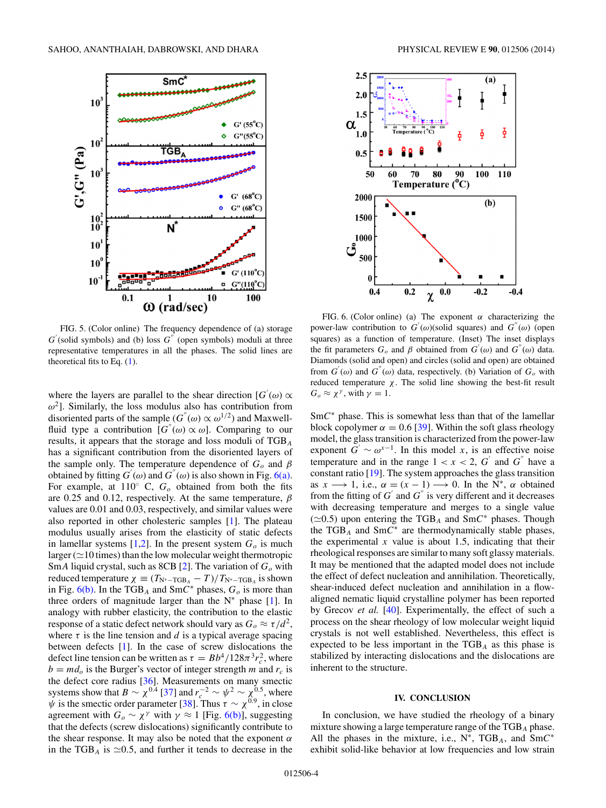<span id="page-3-0"></span>

FIG. 5. (Color online) The frequency dependence of (a) storage  $G'$ (solid symbols) and (b) loss  $G''$  (open symbols) moduli at three representative temperatures in all the phases. The solid lines are theoretical fits to Eq. [\(1\)](#page-2-0).

where the layers are parallel to the shear direction  $[G'(\omega) \propto$  $\omega^2$ ]. Similarly, the loss modulus also has contribution from disoriented parts of the sample ( $G''(\omega) \propto \omega^{1/2}$ ) and Maxwellfluid type a contribution  $[G''(\omega) \propto \omega]$ . Comparing to our results, it appears that the storage and loss moduli of TGB*<sup>A</sup>* has a significant contribution from the disoriented layers of the sample only. The temperature dependence of  $G<sub>o</sub>$  and  $\beta$ obtained by fitting  $G'(\omega)$  and  $G''(\omega)$  is also shown in Fig. 6(a). For example, at  $110^\circ$  C,  $G_\text{o}$  obtained from both the fits are 0.25 and 0.12, respectively. At the same temperature, *β* values are 0.01 and 0.03, respectively, and similar values were also reported in other cholesteric samples [\[1\]](#page-4-0). The plateau modulus usually arises from the elasticity of static defects in lamellar systems  $[1,2]$ . In the present system  $G<sub>o</sub>$  is much larger ( $\simeq$ 10 times) than the low molecular weight thermotropic Sm*A* liquid crystal, such as 8CB [\[2\]](#page-4-0). The variation of *Go* with reduced temperature  $\chi \equiv (T_{N^* - TGB_A} - T)/T_{N^* - TGB_A}$  is shown in Fig.  $6(b)$ . In the TGB<sub>A</sub> and SmC<sup>\*</sup> phases,  $G<sub>o</sub>$  is more than three orders of magnitude larger than the  $N^*$  phase [\[1\]](#page-4-0). In analogy with rubber elasticity, the contribution to the elastic response of a static defect network should vary as  $G_o \approx \tau/d^2$ , where  $\tau$  is the line tension and *d* is a typical average spacing between defects [\[1\]](#page-4-0). In the case of screw dislocations the defect line tension can be written as  $\tau = Bb^4/128\pi^3r_c^2$ , where  $b = md<sub>o</sub>$  is the Burger's vector of integer strength *m* and  $r<sub>c</sub>$  is the defect core radius [\[36\]](#page-4-0). Measurements on many smectic systems show that  $B \sim \chi^{0.4}$  [\[37\]](#page-4-0) and  $r_c^{-2} \sim \psi^2 \sim \chi^{0.5}$ , where *ψ* is the smectic order parameter [\[38\]](#page-4-0). Thus  $\tau \sim \chi^{0.9}$ , in close agreement with  $G_o \sim \chi^{\gamma}$  with  $\gamma \approx 1$  [Fig. 6(b)], suggesting that the defects (screw dislocations) significantly contribute to the shear response. It may also be noted that the exponent *α* in the TGB<sub>A</sub> is  $\simeq 0.5$ , and further it tends to decrease in the



FIG. 6. (Color online) (a) The exponent *α* characterizing the power-law contribution to  $G'(\omega)$ (solid squares) and  $G''(\omega)$  (open squares) as a function of temperature. (Inset) The inset displays the fit parameters  $G_o$  and  $\beta$  obtained from  $G'(\omega)$  and  $G''(\omega)$  data. Diamonds (solid and open) and circles (solid and open) are obtained from  $G'(\omega)$  and  $G''(\omega)$  data, respectively. (b) Variation of  $G_o$  with reduced temperature *χ*. The solid line showing the best-fit result  $G<sub>o</sub> \approx \chi^{\gamma}$ , with  $\gamma = 1$ .

Sm*C*<sup>∗</sup> phase. This is somewhat less than that of the lamellar block copolymer  $\alpha = 0.6$  [\[39\]](#page-4-0). Within the soft glass rheology model, the glass transition is characterized from the power-law exponent  $G' \sim \omega^{x-1}$ . In this model *x*, is an effective noise temperature and in the range  $1 < x < 2$ ,  $G'$  and  $G''$  have a constant ratio [\[19\]](#page-4-0). The system approaches the glass transition as  $x \rightarrow 1$ , i.e.,  $\alpha = (x - 1) \rightarrow 0$ . In the N<sup>\*</sup>,  $\alpha$  obtained from the fitting of  $G'$  and  $G''$  is very different and it decreases with decreasing temperature and merges to a single value  $(\simeq 0.5)$  upon entering the TGB<sub>A</sub> and SmC<sup>\*</sup> phases. Though the TGB*<sup>A</sup>* and Sm*C*<sup>∗</sup> are thermodynamically stable phases, the experimental  $x$  value is about 1.5, indicating that their rheological responses are similar to many soft glassy materials. It may be mentioned that the adapted model does not include the effect of defect nucleation and annihilation. Theoretically, shear-induced defect nucleation and annihilation in a flowaligned nematic liquid crystalline polymer has been reported by Grecov *et al.* [\[40\]](#page-4-0). Experimentally, the effect of such a process on the shear rheology of low molecular weight liquid crystals is not well established. Nevertheless, this effect is expected to be less important in the TGB*<sup>A</sup>* as this phase is stabilized by interacting dislocations and the dislocations are inherent to the structure.

## **IV. CONCLUSION**

In conclusion, we have studied the rheology of a binary mixture showing a large temperature range of the TGB*<sup>A</sup>* phase. All the phases in the mixture, i.e., N∗, TGB*A*, and Sm*C*<sup>∗</sup> exhibit solid-like behavior at low frequencies and low strain